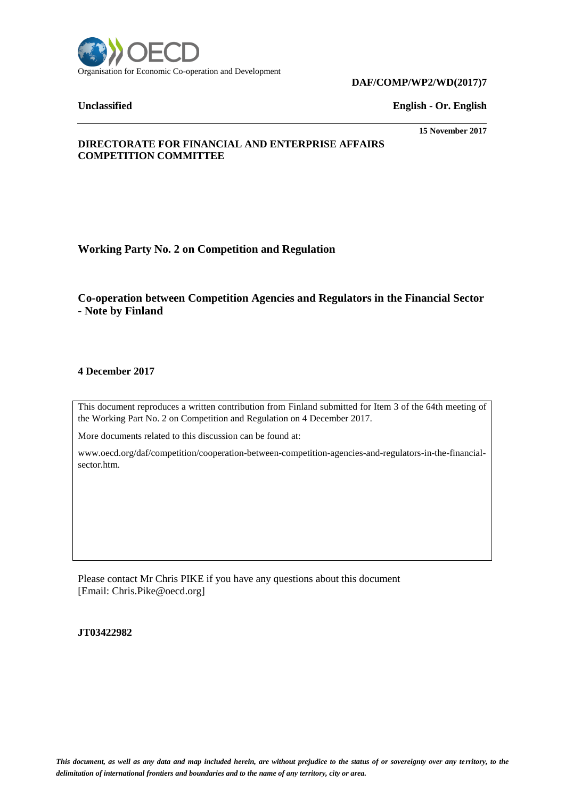

### **DAF/COMP/WP2/WD(2017)7**

**Unclassified English - Or. English**

# **15 November 2017**

# **DIRECTORATE FOR FINANCIAL AND ENTERPRISE AFFAIRS COMPETITION COMMITTEE**

**Working Party No. 2 on Competition and Regulation**

**Co-operation between Competition Agencies and Regulators in the Financial Sector - Note by Finland**

# **4 December 2017**

This document reproduces a written contribution from Finland submitted for Item 3 of the 64th meeting of the Working Part No. 2 on Competition and Regulation on 4 December 2017.

More documents related to this discussion can be found at:

www.oecd.org/daf/competition/cooperation-between-competition-agencies-and-regulators-in-the-financialsector.htm.

Please contact Mr Chris PIKE if you have any questions about this document [Email: Chris.Pike@oecd.org]

**JT03422982**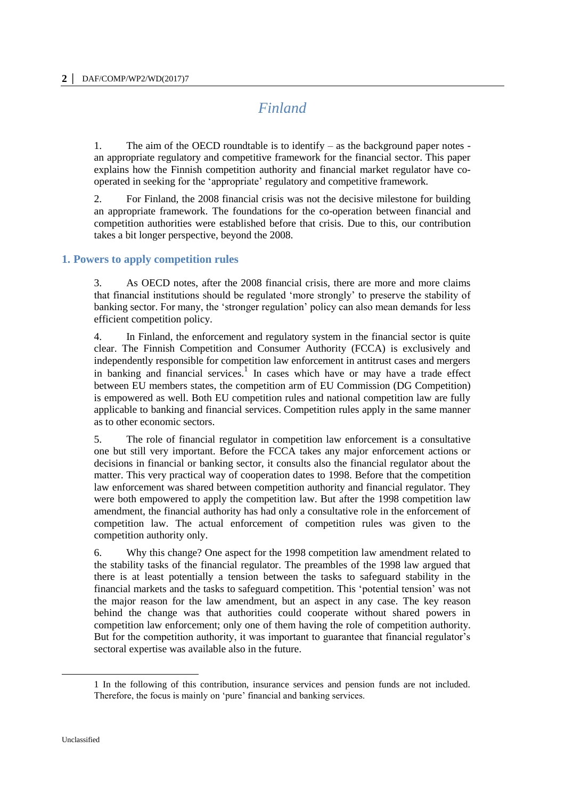# *Finland*

1. The aim of the OECD roundtable is to identify – as the background paper notes an appropriate regulatory and competitive framework for the financial sector. This paper explains how the Finnish competition authority and financial market regulator have cooperated in seeking for the 'appropriate' regulatory and competitive framework.

2. For Finland, the 2008 financial crisis was not the decisive milestone for building an appropriate framework. The foundations for the co-operation between financial and competition authorities were established before that crisis. Due to this, our contribution takes a bit longer perspective, beyond the 2008.

# **1. Powers to apply competition rules**

3. As OECD notes, after the 2008 financial crisis, there are more and more claims that financial institutions should be regulated 'more strongly' to preserve the stability of banking sector. For many, the 'stronger regulation' policy can also mean demands for less efficient competition policy.

4. In Finland, the enforcement and regulatory system in the financial sector is quite clear. The Finnish Competition and Consumer Authority (FCCA) is exclusively and independently responsible for competition law enforcement in antitrust cases and mergers in banking and financial services.<sup>1</sup> In cases which have or may have a trade effect between EU members states, the competition arm of EU Commission (DG Competition) is empowered as well. Both EU competition rules and national competition law are fully applicable to banking and financial services. Competition rules apply in the same manner as to other economic sectors.

5. The role of financial regulator in competition law enforcement is a consultative one but still very important. Before the FCCA takes any major enforcement actions or decisions in financial or banking sector, it consults also the financial regulator about the matter. This very practical way of cooperation dates to 1998. Before that the competition law enforcement was shared between competition authority and financial regulator. They were both empowered to apply the competition law. But after the 1998 competition law amendment, the financial authority has had only a consultative role in the enforcement of competition law. The actual enforcement of competition rules was given to the competition authority only.

6. Why this change? One aspect for the 1998 competition law amendment related to the stability tasks of the financial regulator. The preambles of the 1998 law argued that there is at least potentially a tension between the tasks to safeguard stability in the financial markets and the tasks to safeguard competition. This 'potential tension' was not the major reason for the law amendment, but an aspect in any case. The key reason behind the change was that authorities could cooperate without shared powers in competition law enforcement; only one of them having the role of competition authority. But for the competition authority, it was important to guarantee that financial regulator's sectoral expertise was available also in the future.

<sup>1</sup> In the following of this contribution, insurance services and pension funds are not included. Therefore, the focus is mainly on 'pure' financial and banking services.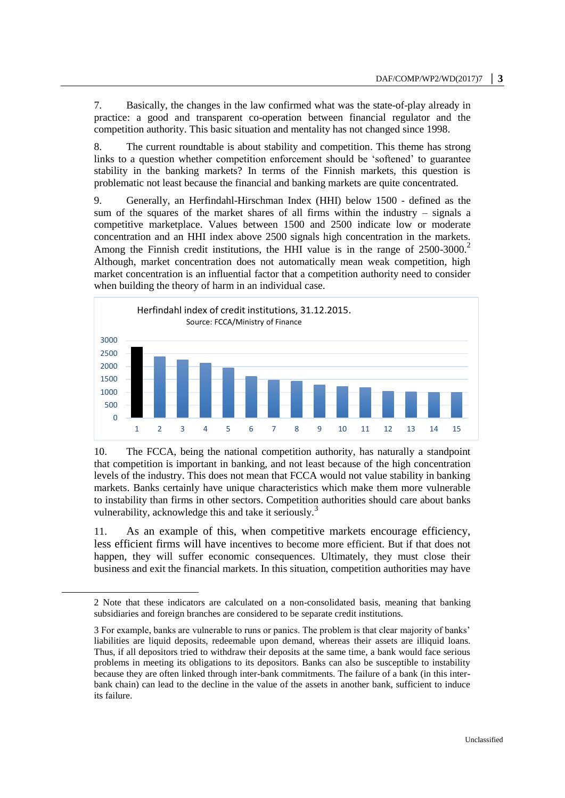7. Basically, the changes in the law confirmed what was the state-of-play already in practice: a good and transparent co-operation between financial regulator and the competition authority. This basic situation and mentality has not changed since 1998.

8. The current roundtable is about stability and competition. This theme has strong links to a question whether competition enforcement should be 'softened' to guarantee stability in the banking markets? In terms of the Finnish markets, this question is problematic not least because the financial and banking markets are quite concentrated.

9. Generally, an Herfindahl-Hirschman Index (HHI) below 1500 - defined as the sum of the squares of the market shares of all firms within the industry – signals a competitive marketplace. Values between 1500 and 2500 indicate low or moderate concentration and an HHI index above 2500 signals high concentration in the markets. Among the Finnish credit institutions, the HHI value is in the range of 2500-3000.<sup>2</sup> Although, market concentration does not automatically mean weak competition, high market concentration is an influential factor that a competition authority need to consider when building the theory of harm in an individual case.



10. The FCCA, being the national competition authority, has naturally a standpoint that competition is important in banking, and not least because of the high concentration levels of the industry. This does not mean that FCCA would not value stability in banking markets. Banks certainly have unique characteristics which make them more vulnerable to instability than firms in other sectors. Competition authorities should care about banks vulnerability, acknowledge this and take it seriously.<sup>3</sup>

11. As an example of this, when competitive markets encourage efficiency, less efficient firms will have incentives to become more efficient. But if that does not happen, they will suffer economic consequences. Ultimately, they must close their business and exit the financial markets. In this situation, competition authorities may have

 $\overline{a}$ 

<sup>2</sup> Note that these indicators are calculated on a non-consolidated basis, meaning that banking subsidiaries and foreign branches are considered to be separate credit institutions.

<sup>3</sup> For example, banks are vulnerable to runs or panics. The problem is that clear majority of banks' liabilities are liquid deposits, redeemable upon demand, whereas their assets are illiquid loans. Thus, if all depositors tried to withdraw their deposits at the same time, a bank would face serious problems in meeting its obligations to its depositors. Banks can also be susceptible to instability because they are often linked through inter-bank commitments. The failure of a bank (in this interbank chain) can lead to the decline in the value of the assets in another bank, sufficient to induce its failure.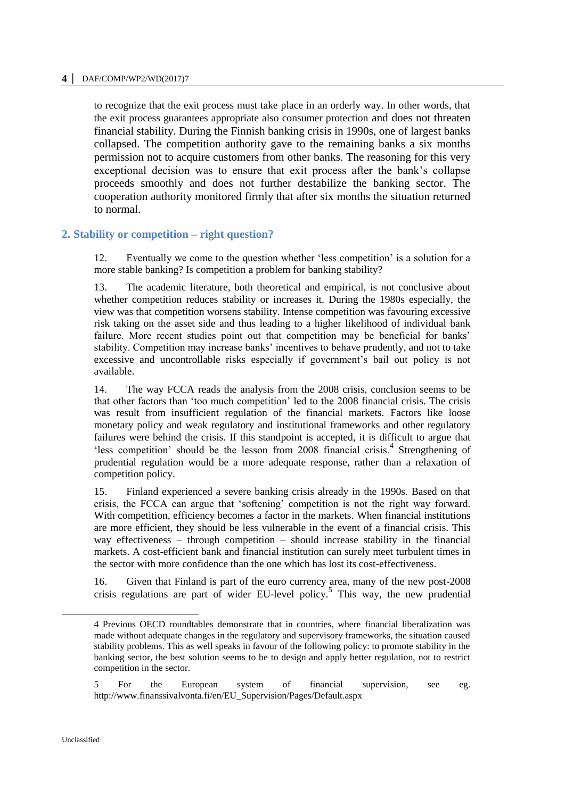#### **4 │** DAF/COMP/WP2/WD(2017)7

to recognize that the exit process must take place in an orderly way. In other words, that the exit process guarantees appropriate also consumer protection and does not threaten financial stability. During the Finnish banking crisis in 1990s, one of largest banks collapsed. The competition authority gave to the remaining banks a six months permission not to acquire customers from other banks. The reasoning for this very exceptional decision was to ensure that exit process after the bank's collapse proceeds smoothly and does not further destabilize the banking sector. The cooperation authority monitored firmly that after six months the situation returned to normal.

# **2. Stability or competition – right question?**

12. Eventually we come to the question whether 'less competition' is a solution for a more stable banking? Is competition a problem for banking stability?

13. The academic literature, both theoretical and empirical, is not conclusive about whether competition reduces stability or increases it. During the 1980s especially, the view was that competition worsens stability. Intense competition was favouring excessive risk taking on the asset side and thus leading to a higher likelihood of individual bank failure. More recent studies point out that competition may be beneficial for banks' stability. Competition may increase banks' incentives to behave prudently, and not to take excessive and uncontrollable risks especially if government's bail out policy is not available.

14. The way FCCA reads the analysis from the 2008 crisis, conclusion seems to be that other factors than 'too much competition' led to the 2008 financial crisis. The crisis was result from insufficient regulation of the financial markets. Factors like loose monetary policy and weak regulatory and institutional frameworks and other regulatory failures were behind the crisis. If this standpoint is accepted, it is difficult to argue that 'less competition' should be the lesson from 2008 financial crisis.<sup>4</sup> Strengthening of prudential regulation would be a more adequate response, rather than a relaxation of competition policy.

15. Finland experienced a severe banking crisis already in the 1990s. Based on that crisis, the FCCA can argue that 'softening' competition is not the right way forward. With competition, efficiency becomes a factor in the markets. When financial institutions are more efficient, they should be less vulnerable in the event of a financial crisis. This way effectiveness – through competition – should increase stability in the financial markets. A cost-efficient bank and financial institution can surely meet turbulent times in the sector with more confidence than the one which has lost its cost-effectiveness.

16. Given that Finland is part of the euro currency area, many of the new post-2008 crisis regulations are part of wider EU-level policy.<sup>5</sup> This way, the new prudential

5 For the European system of financial supervision, see eg. http://www.finanssivalvonta.fi/en/EU\_Supervision/Pages/Default.aspx

 $\overline{a}$ 

<sup>4</sup> Previous OECD roundtables demonstrate that in countries, where financial liberalization was made without adequate changes in the regulatory and supervisory frameworks, the situation caused stability problems. This as well speaks in favour of the following policy: to promote stability in the banking sector, the best solution seems to be to design and apply better regulation, not to restrict competition in the sector.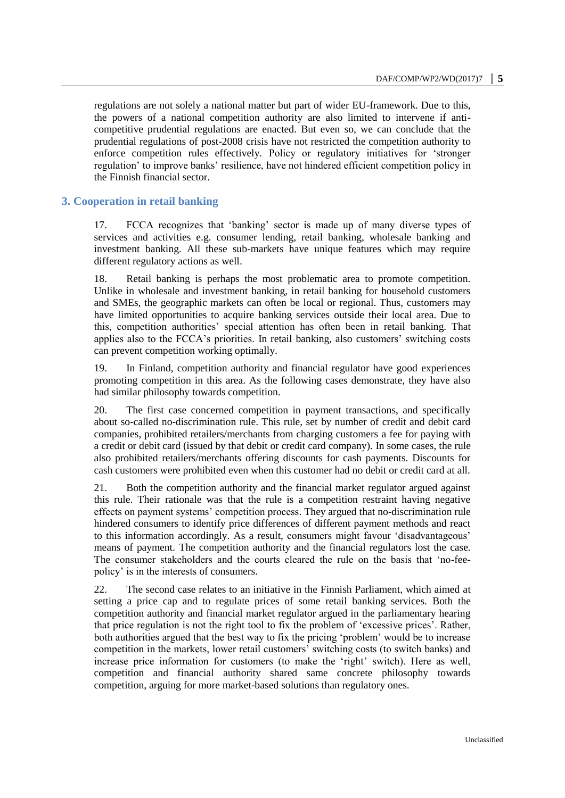regulations are not solely a national matter but part of wider EU-framework. Due to this, the powers of a national competition authority are also limited to intervene if anticompetitive prudential regulations are enacted. But even so, we can conclude that the prudential regulations of post-2008 crisis have not restricted the competition authority to enforce competition rules effectively. Policy or regulatory initiatives for 'stronger regulation' to improve banks' resilience, have not hindered efficient competition policy in the Finnish financial sector.

# **3. Cooperation in retail banking**

17. FCCA recognizes that 'banking' sector is made up of many diverse types of services and activities e.g. consumer lending, retail banking, wholesale banking and investment banking. All these sub-markets have unique features which may require different regulatory actions as well.

18. Retail banking is perhaps the most problematic area to promote competition. Unlike in wholesale and investment banking, in retail banking for household customers and SMEs, the geographic markets can often be local or regional. Thus, customers may have limited opportunities to acquire banking services outside their local area. Due to this, competition authorities' special attention has often been in retail banking. That applies also to the FCCA's priorities. In retail banking, also customers' switching costs can prevent competition working optimally.

19. In Finland, competition authority and financial regulator have good experiences promoting competition in this area. As the following cases demonstrate, they have also had similar philosophy towards competition.

20. The first case concerned competition in payment transactions, and specifically about so-called no-discrimination rule. This rule, set by number of credit and debit card companies, prohibited retailers/merchants from charging customers a fee for paying with a credit or debit card (issued by that debit or credit card company). In some cases, the rule also prohibited retailers/merchants offering discounts for cash payments. Discounts for cash customers were prohibited even when this customer had no debit or credit card at all.

21. Both the competition authority and the financial market regulator argued against this rule. Their rationale was that the rule is a competition restraint having negative effects on payment systems' competition process. They argued that no-discrimination rule hindered consumers to identify price differences of different payment methods and react to this information accordingly. As a result, consumers might favour 'disadvantageous' means of payment. The competition authority and the financial regulators lost the case. The consumer stakeholders and the courts cleared the rule on the basis that 'no-feepolicy' is in the interests of consumers.

22. The second case relates to an initiative in the Finnish Parliament, which aimed at setting a price cap and to regulate prices of some retail banking services. Both the competition authority and financial market regulator argued in the parliamentary hearing that price regulation is not the right tool to fix the problem of 'excessive prices'. Rather, both authorities argued that the best way to fix the pricing 'problem' would be to increase competition in the markets, lower retail customers' switching costs (to switch banks) and increase price information for customers (to make the 'right' switch). Here as well, competition and financial authority shared same concrete philosophy towards competition, arguing for more market-based solutions than regulatory ones.